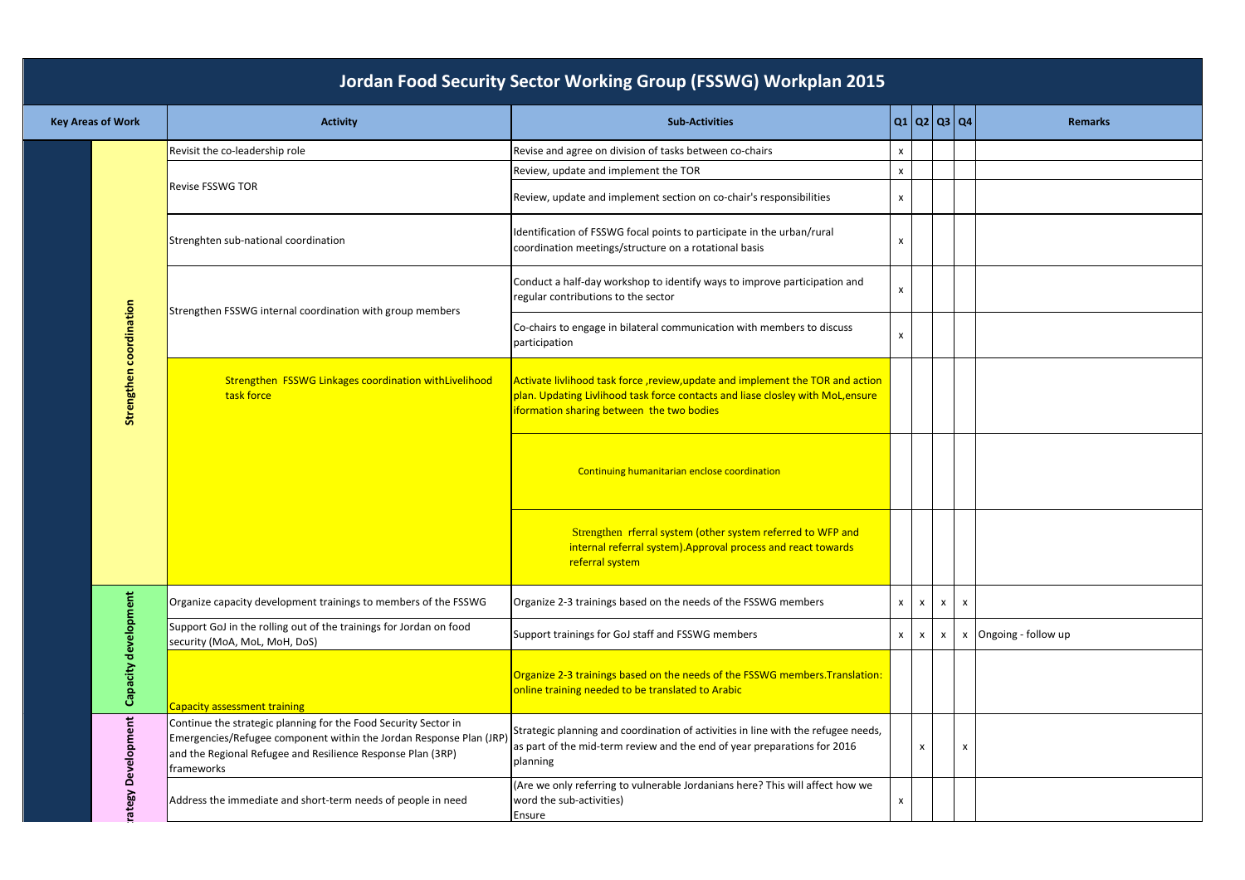| <b>Key Areas of Work</b> | <b>Activity</b>                                                                                                                                                                                                     | <b>Sub-Activities</b>                                                                                                                                                                                         | Q1   Q2   Q3   Q4 |                                                        |   |                          | <b>Remarks</b> |
|--------------------------|---------------------------------------------------------------------------------------------------------------------------------------------------------------------------------------------------------------------|---------------------------------------------------------------------------------------------------------------------------------------------------------------------------------------------------------------|-------------------|--------------------------------------------------------|---|--------------------------|----------------|
|                          | Revisit the co-leadership role                                                                                                                                                                                      | Revise and agree on division of tasks between co-chairs                                                                                                                                                       | x                 |                                                        |   |                          |                |
|                          | <b>Revise FSSWG TOR</b>                                                                                                                                                                                             | Review, update and implement the TOR                                                                                                                                                                          | x                 |                                                        |   |                          |                |
|                          |                                                                                                                                                                                                                     | Review, update and implement section on co-chair's responsibilities                                                                                                                                           | x                 |                                                        |   |                          |                |
|                          | Strenghten sub-national coordination                                                                                                                                                                                | Identification of FSSWG focal points to participate in the urban/rural<br>coordination meetings/structure on a rotational basis                                                                               | x                 |                                                        |   |                          |                |
|                          | Strengthen FSSWG internal coordination with group members                                                                                                                                                           | Conduct a half-day workshop to identify ways to improve participation and<br>regular contributions to the sector                                                                                              | x                 |                                                        |   |                          |                |
|                          |                                                                                                                                                                                                                     | Co-chairs to engage in bilateral communication with members to discuss<br>participation                                                                                                                       | X                 |                                                        |   |                          |                |
| Strengthen coordination  | Strengthen FSSWG Linkages coordination withLivelihood<br>task force                                                                                                                                                 | Activate livlihood task force, review, update and implement the TOR and action<br>plan. Updating Livlihood task force contacts and liase closley with MoL,ensure<br>iformation sharing between the two bodies |                   |                                                        |   |                          |                |
|                          |                                                                                                                                                                                                                     | Continuing humanitarian enclose coordination                                                                                                                                                                  |                   |                                                        |   |                          |                |
|                          |                                                                                                                                                                                                                     | Strengthen rferral system (other system referred to WFP and<br>internal referral system). Approval process and react towards<br>referral system                                                               |                   |                                                        |   |                          |                |
|                          | Organize capacity development trainings to members of the FSSWG                                                                                                                                                     | Organize 2-3 trainings based on the needs of the FSSWG members                                                                                                                                                | $\mathsf{x}$      | $\pmb{\times}$                                         | X | $\mathsf{x}$             |                |
|                          | Support GoJ in the rolling out of the trainings for Jordan on food<br>security (MoA, MoL, MoH, DoS)                                                                                                                 | Support trainings for GoJ staff and FSSWG members                                                                                                                                                             | $\mathsf{x}$      | $\boldsymbol{\mathsf{x}}$<br>$\boldsymbol{\mathsf{x}}$ |   | Ongoing - follow up<br>x |                |
| Capacity development     | Capacity assessment training                                                                                                                                                                                        | Organize 2-3 trainings based on the needs of the FSSWG members. Translation:<br>online training needed to be translated to Arabic                                                                             |                   |                                                        |   |                          |                |
| $\tilde{\epsilon}$       | Continue the strategic planning for the Food Security Sector in<br>Emergencies/Refugee component within the Jordan Response Plan (JRP)<br>and the Regional Refugee and Resilience Response Plan (3RP)<br>frameworks | Strategic planning and coordination of activities in line with the refugee needs,<br>as part of the mid-term review and the end of year preparations for 2016<br>planning                                     |                   | $\boldsymbol{\mathsf{x}}$                              |   | X                        |                |
| rategy Developm          | Address the immediate and short-term needs of people in need                                                                                                                                                        | (Are we only referring to vulnerable Jordanians here? This will affect how we<br>word the sub-activities)<br>Ensure                                                                                           | x                 |                                                        |   |                          |                |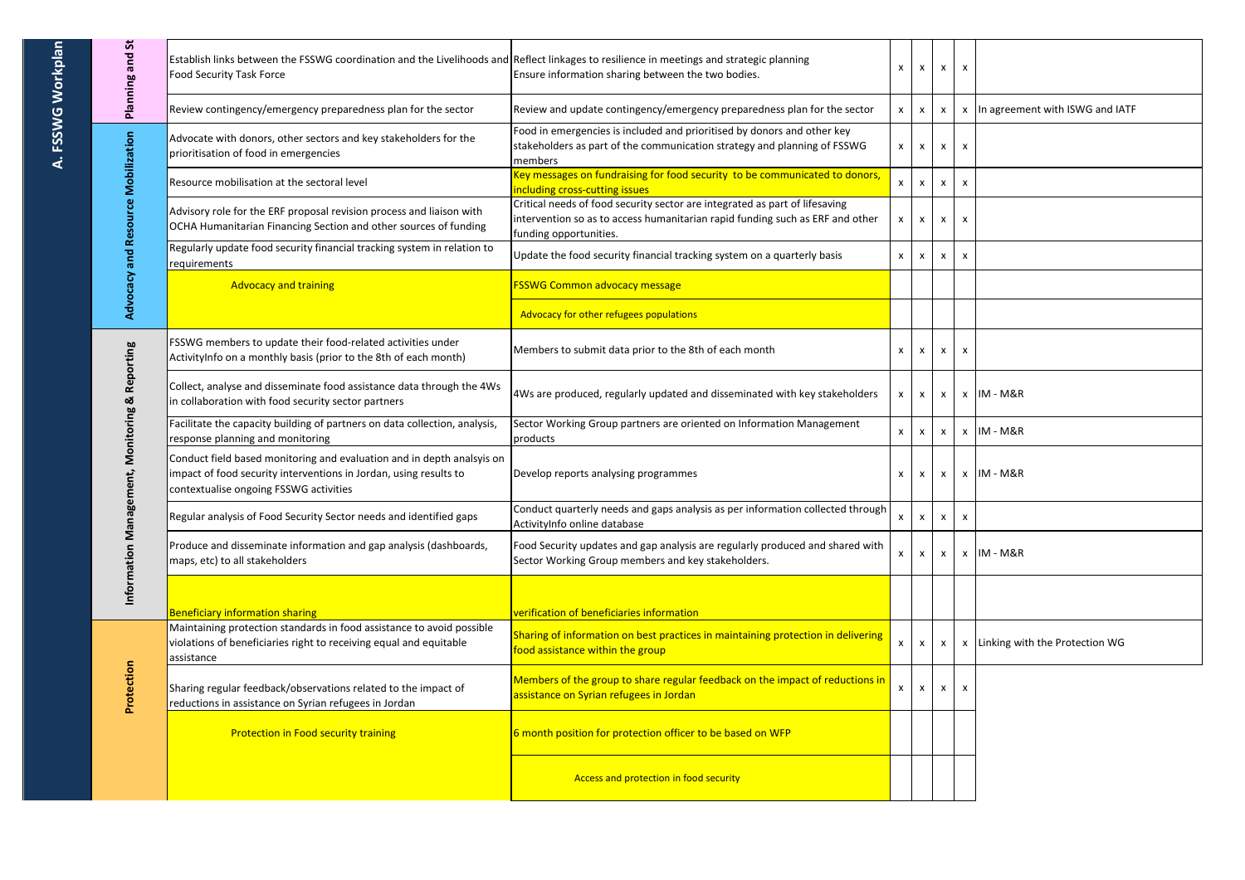| Planning and St                                               | Establish links between the FSSWG coordination and the Livelihoods and Reflect linkages to resilience in meetings and strategic planning<br>Food Security Task Force                  | Ensure information sharing between the two bodies.                                                                                                                                     | $\mathsf{x}$   | X              | $\pmb{\mathsf{X}}$ | $\boldsymbol{\mathsf{x}}$ |                                   |
|---------------------------------------------------------------|---------------------------------------------------------------------------------------------------------------------------------------------------------------------------------------|----------------------------------------------------------------------------------------------------------------------------------------------------------------------------------------|----------------|----------------|--------------------|---------------------------|-----------------------------------|
|                                                               | Review contingency/emergency preparedness plan for the sector                                                                                                                         | Review and update contingency/emergency preparedness plan for the sector                                                                                                               | x              | X              | x                  |                           | x In agreement with ISWG and IATF |
| Advocacy and Resource Mobilization                            | Advocate with donors, other sectors and key stakeholders for the<br>prioritisation of food in emergencies                                                                             | Food in emergencies is included and prioritised by donors and other key<br>stakeholders as part of the communication strategy and planning of FSSWG<br>members                         | x              | x              | $\pmb{\mathsf{x}}$ | $\boldsymbol{\mathsf{x}}$ |                                   |
|                                                               | Resource mobilisation at the sectoral level                                                                                                                                           | Key messages on fundraising for food security to be communicated to donors,<br>including cross-cutting issues                                                                          | $\pmb{\times}$ | $\pmb{\times}$ | $\pmb{\mathsf{x}}$ | $\boldsymbol{\mathsf{x}}$ |                                   |
|                                                               | Advisory role for the ERF proposal revision process and liaison with<br>OCHA Humanitarian Financing Section and other sources of funding                                              | Critical needs of food security sector are integrated as part of lifesaving<br>intervention so as to access humanitarian rapid funding such as ERF and other<br>funding opportunities. | X              | x              | x                  | $\boldsymbol{\mathsf{x}}$ |                                   |
|                                                               | Regularly update food security financial tracking system in relation to<br>requirements                                                                                               | Update the food security financial tracking system on a quarterly basis                                                                                                                | $\pmb{\times}$ | x              | x                  | $\boldsymbol{\mathsf{x}}$ |                                   |
|                                                               | <b>Advocacy and training</b>                                                                                                                                                          | <b>FSSWG Common advocacy message</b>                                                                                                                                                   |                |                |                    |                           |                                   |
|                                                               |                                                                                                                                                                                       | Advocacy for other refugees populations                                                                                                                                                |                |                |                    |                           |                                   |
| <b>iformation Management, Monitoring &amp; Reporting</b><br>≐ | FSSWG members to update their food-related activities under<br>ActivityInfo on a monthly basis (prior to the 8th of each month)                                                       | Members to submit data prior to the 8th of each month                                                                                                                                  | X              | x              | X                  | $\boldsymbol{\mathsf{x}}$ |                                   |
|                                                               | Collect, analyse and disseminate food assistance data through the 4Ws<br>in collaboration with food security sector partners                                                          | 4Ws are produced, regularly updated and disseminated with key stakeholders                                                                                                             | X              | x              | x                  |                           | $x$ IM - M&R                      |
|                                                               | Facilitate the capacity building of partners on data collection, analysis,<br>response planning and monitoring                                                                        | Sector Working Group partners are oriented on Information Management<br>products                                                                                                       | $\mathsf{x}$   | $\pmb{\times}$ | x                  |                           | x IM-M&R                          |
|                                                               | Conduct field based monitoring and evaluation and in depth analsyis on<br>impact of food security interventions in Jordan, using results to<br>contextualise ongoing FSSWG activities | Develop reports analysing programmes                                                                                                                                                   | X              | x              | x                  |                           | $x$ IM - M&R                      |
|                                                               | Regular analysis of Food Security Sector needs and identified gaps                                                                                                                    | Conduct quarterly needs and gaps analysis as per information collected through<br>ActivityInfo online database                                                                         | $\pmb{\times}$ | X              | $\pmb{\mathsf{x}}$ | $\mathsf{x}$              |                                   |
|                                                               | Produce and disseminate information and gap analysis (dashboards,<br>maps, etc) to all stakeholders                                                                                   | Food Security updates and gap analysis are regularly produced and shared with<br>Sector Working Group members and key stakeholders.                                                    | X              | x              | X                  |                           | $x$ IM - M&R                      |
|                                                               | <b>Beneficiary information sharing</b>                                                                                                                                                | verification of beneficiaries information                                                                                                                                              |                |                |                    |                           |                                   |
| Protection                                                    | Maintaining protection standards in food assistance to avoid possible<br>violations of beneficiaries right to receiving equal and equitable<br>assistance                             | Sharing of information on best practices in maintaining protection in delivering<br>food assistance within the group                                                                   | X              | X              | $\mathsf{x}$       |                           | x Linking with the Protection WG  |
|                                                               | Sharing regular feedback/observations related to the impact of<br>reductions in assistance on Syrian refugees in Jordan                                                               | Members of the group to share regular feedback on the impact of reductions in<br>assistance on Syrian refugees in Jordan                                                               | X              | x              | $\pmb{\mathsf{X}}$ | $\boldsymbol{\mathsf{x}}$ |                                   |
|                                                               | <b>Protection in Food security training</b>                                                                                                                                           | 6 month position for protection officer to be based on WFP                                                                                                                             |                |                |                    |                           |                                   |
|                                                               |                                                                                                                                                                                       | Access and protection in food security                                                                                                                                                 |                |                |                    |                           |                                   |

F